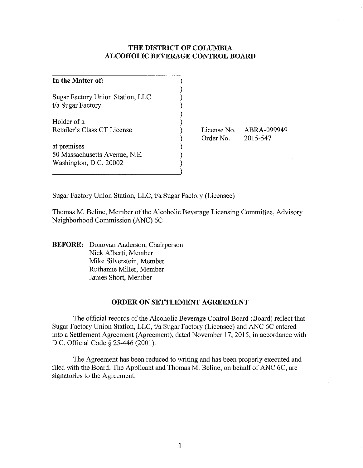## **THE DISTRICT OF COLUMBIA ALCOHOLIC BEVERAGE CONTROL BOARD**

| In the Matter of:                                                      |  |
|------------------------------------------------------------------------|--|
| Sugar Factory Union Station, LLC<br>t/a Sugar Factory                  |  |
| Holder of a<br>Retailer's Class CT License                             |  |
| at premises<br>50 Massachusetts Avenue, N.E.<br>Washington, D.C. 20002 |  |

License No. ABRA-099949 Order No.

2015-547

Sugar Factory Union Station, LLC, t/a Sugar Factory (Licensee)

Thomas M. Beline, Member of the Alcoholic Beverage Licensing Committee, Advisory Neighborhood Commission (ANC) 6C

**BEFORE:** Donovan Anderson, Chairperson Nick Alberti, Member Mike Silverstein, Member Ruthanne Miller, Member James Short, Member

## **ORDER ON SETTLEMENT AGREEMENT**

The official records of the Alcoholic Beverage Control Board (Board) reflect that Sugar Factory Union Station, LLC, t/a Sugar Factory (Licensee) and ANC 6C entered into a Settlement Agreement (Agreement), dated November 17, 2015, in accordance with D.C. Official Code § 25-446 (2001).

The Agreement has been reduced to writing and has been properly executed and filed with the Board. The Applicant and Thomas M. Beline, on behalf of ANC 6C, are signatories to the Agreement.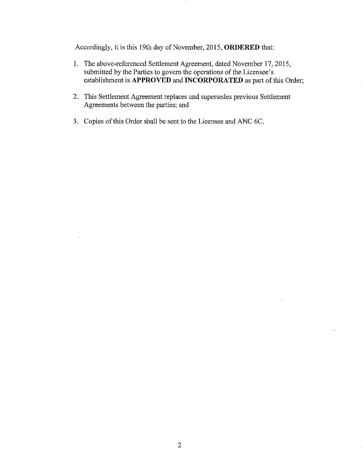Accordingly, it is this 19th day of November, 2015, **ORDERED** that:

- 1. The above-referenced Settlement Agreement, dated November 17, 2015, submitted by the Parties to govern the operations of the Licensee's establishment is **APPROVED and INCORPORATED** as part of this Order;
- 2. This Settlement Agreement replaces and supersedes previous Settlement Agreements between the parties; and
- 3. Copies of this Order shall be sent to the Licensee and ANC 6C.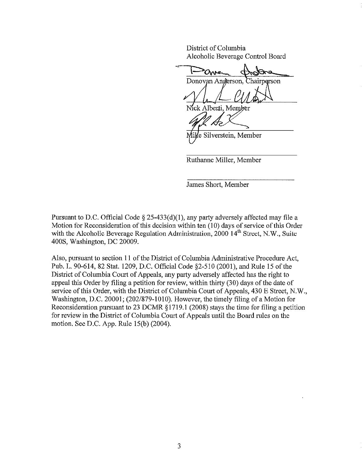District of Columbia Alcoholic Beverage Control Board

Donovan Anderson. hairperson<sup>.</sup> Jick Alberti, Member

e Silverstein, Member

Ruthanne Miller, Member

James Short, Member

Pursuant to D.C. Official Code § 25-433(d)(I), any party adversely affected may file a Motion for Reconsideration of this decision within ten (10) days of service of this Order with the Alcoholic Beverage Regulation Administration,  $2000$   $14<sup>th</sup>$  Street, N.W., Suite 400S, Washington, DC 20009.

Also, pursuant to section **II** of the District of Columbia Administrative Procedure Act, Pub. 1. 90-614, 82 Stat. 1209, D.C. Official Code §2-51O (2001), and Rule 15 of the District of Columbia Court of Appeals, any party adversely affected has the right to appeal this Order by filing a petition for review, within thirty (30) days of the date of service of this Order, with the District of Columbia Court of Appeals, 430 E Street, N.W., Washington, D.C. 20001; (202/879-1010). However, the timely filing of a Motion for Reconsideration pursuant to 23 DCMR § 1719.1 (2008) stays the time for filing a petition for review in the District of Columbia Court of Appeals until the Board rules on the motion. See D.C. App. Rule 15(b) (2004).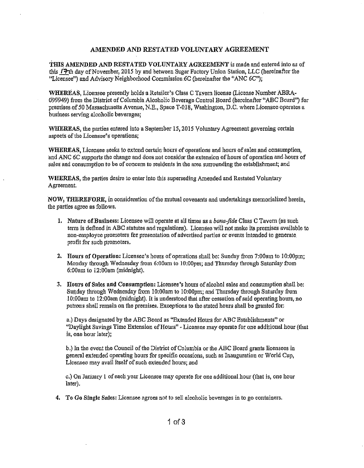## AMENDED AND RESTATED VOLUNTARY AGREEMENT

THIS AMENDED AND RESTATED VOLUNTARY AGREEMENT is made and entered into as of this 17th day of November, 2015 by and between Sugar Factory Union Station, LLC (hereinafter the "Licensee") and Advisory Neighborhood Commission 6C (hereinafter the "ANC 6C");

WHEREAS, Licensee presently holds a Retailer's Class C Tavern license (License Number ABRA-(99949) from the District of Columbia Alcoholio Beverage Control Board (hereinafter "ABC Board") for premises of 50 Massachusetts Avenue, N.B., Space T·018, Washington, D.C. where Licensee operates a business serving alcoholic beverages;

WHEREAS, the parties entered into a September 15,2015 Voluntary Agreement governing certain aspects of the Licensee's operations;

WHEREAS, Licensee seeks to extend certain hours of operations and hours of sales and consumption, and ANC 6C supports the change and does not consider the extension of hours of operation and hours of sales and consumption to be of concern to residents in the area surrounding the establishment; and

WHEREAS, the parties desire to enter into this superseding Amended and Restated Voluntary Agreement.

NOW, THEREFORE, in consideration of the mutual covensntsand undertakings memorialized herein, the parties agree as follows.

- 1. Nature of Business: Licensee will operate at all times as a *bona-fide* Class C Tavern (as such term is defined in ABC statutes and regulations). Licensee will not make its premises available to non-employee promoters for presentation of advertised parties or events intended to generate profit for such promoters.
- 2. Hours of Operation: Licensee's hours of operations shall be: Sunday from 7:00am to 10:00pm; Monday through Wednesday from 6:00am to 10:00pm; and Thursday through Saturday from 6:00am to 12:00am (midnight).
- 3. JIours of Sules. and Consumption: Lieensee's hours of alcohol sales and consnmptionshall be: Sunday through Wednesday from 10:00am to 10:00pm; and Thursday through Saturday from JO:OOam to 12:00am (midnight). It is understood that after cessation of said operating hours, no patrons shall remain on the premises. Exceptions to the stated hours shall be granted for:

a.) Days designated by the ABC Board as "Extended Hours for ABC Establishments"or "Daylight Savings Time Extension of Hours" - Licensee may operate for one additional hour (that is, one hour later):

b.) In the event the Council of the District of Columbia or the ABC Board grants licensees in general extended operating hours for specific occasions, such as Inauguration or World Cup, Licensee may avail itself of such extended bours; and

c.) On January 1 of each year Licensee may operate for one additional hour (that is, one hour later).

4. To Go Single Sales: Licensee agrees not to sell alcoholic beverages in to go containers.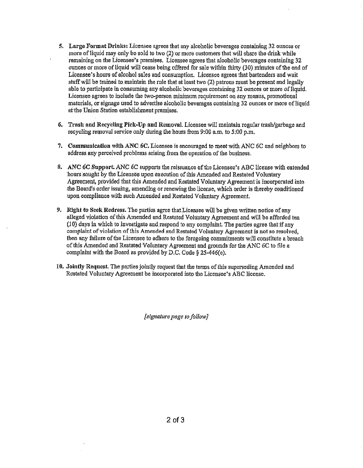- 5. Large Format Drinks: Licensee agrees that any alcoholic beverages containing.32 ounces or more of liquid may only be sold to two  $(2)$  or more customers that will share the drink while remaining on the Licensee's premises. Licensee agrees that alcoholic beverages containing 32 ounces or more of liquid will cease being offered for sale within thirty (30) minutes of the end of Licensee's hours of alcohol sales and consumption. Licensee agrees that bartenders and wait staff will be trained to maintain the rule that at least two (2) patrons must be present and legally able to participate in consuming any alcoholic beverages containing 32 ounces or more of Ilquid. Licensee agrees to include the two-person minimum requirement on any menus, promotional materials, or signage used to advertise alcoholic beverages containing 32 ounces or more of liquid atthe Union Station establishment premises.
- 6. Trash and Recycling Pick-Up and Removal. Licensee will maintain regular trash/garbage and recycling removal service only during the hours from  $9:00$  a.m. to  $5:00$  p.m.
- 7. Communication with ANC 6C. Licensee is encouraged to meet with ANC 6C and neighbors to address. any perceived problems arising from.theoperation of the business.
- 8. ANC 6C Support. ANC 6C supports the reissuance of the Licensee's ABC license with extended honrs sought by the Licensee upon.execution of this Amended and Restated Voluntary Agreement, provided that this Amended and Restated Voluntary Agreement is incorporated into the Board's order issuing, amending or renewing the license, which order is thereby conditioned upon compliance with such Amended and Restated Voluntary Agreement.
- 9. Right to Seek Redress. The parties agree that Licensee will be given written notice of any alleged violation of this Amended and Restated Voluntary Agreement and will be afforded ten  $(10)$  days in which to investigate and respond to any complaint. The parties agree that if any complaint of violation of this Amended and Restated Voluntary Agreement is not so resolved, then any failure of the Licensee to adhere to the foregoing commitments will constitute a breach of this Amended and Resteted Voluntary Agreement and grounds for the ANC 6C to file a complaint with the Board as provided by D.C. Code  $\S 25-446(e)$ .
- 10. Jointly Request. The parties jointly request that the terms of this superseding Amended and Restated Voluntary Agreement be incorporated into the Licensee's ABC license.

*[signature page to follow]*